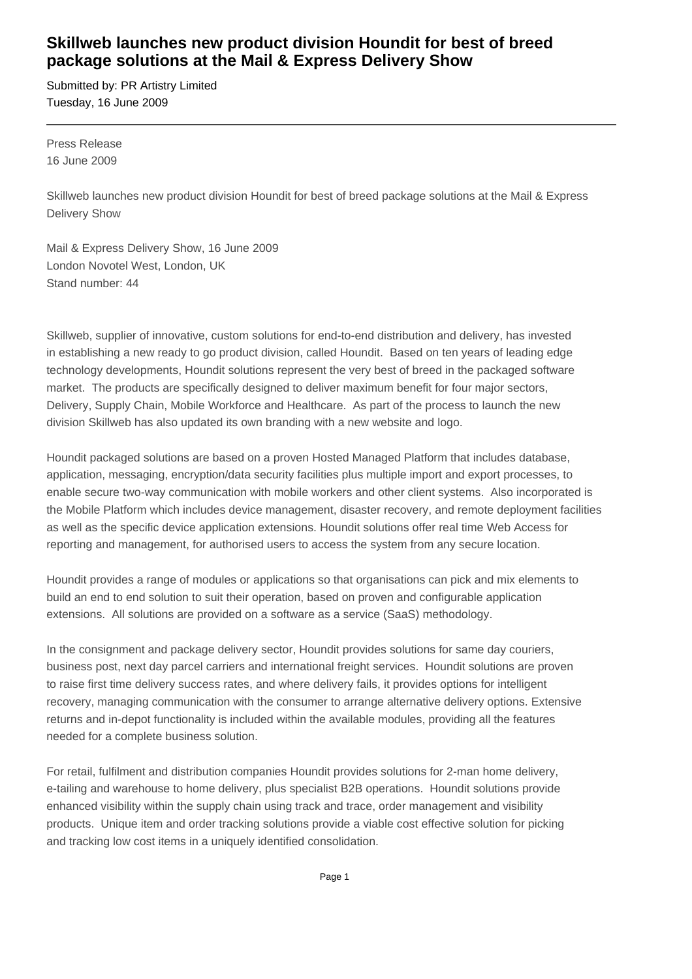# **Skillweb launches new product division Houndit for best of breed package solutions at the Mail & Express Delivery Show**

Submitted by: PR Artistry Limited Tuesday, 16 June 2009

Press Release 16 June 2009

Skillweb launches new product division Houndit for best of breed package solutions at the Mail & Express Delivery Show

Mail & Express Delivery Show, 16 June 2009 London Novotel West, London, UK Stand number: 44

Skillweb, supplier of innovative, custom solutions for end-to-end distribution and delivery, has invested in establishing a new ready to go product division, called Houndit. Based on ten years of leading edge technology developments, Houndit solutions represent the very best of breed in the packaged software market. The products are specifically designed to deliver maximum benefit for four major sectors, Delivery, Supply Chain, Mobile Workforce and Healthcare. As part of the process to launch the new division Skillweb has also updated its own branding with a new website and logo.

Houndit packaged solutions are based on a proven Hosted Managed Platform that includes database, application, messaging, encryption/data security facilities plus multiple import and export processes, to enable secure two-way communication with mobile workers and other client systems. Also incorporated is the Mobile Platform which includes device management, disaster recovery, and remote deployment facilities as well as the specific device application extensions. Houndit solutions offer real time Web Access for reporting and management, for authorised users to access the system from any secure location.

Houndit provides a range of modules or applications so that organisations can pick and mix elements to build an end to end solution to suit their operation, based on proven and configurable application extensions. All solutions are provided on a software as a service (SaaS) methodology.

In the consignment and package delivery sector, Houndit provides solutions for same day couriers, business post, next day parcel carriers and international freight services. Houndit solutions are proven to raise first time delivery success rates, and where delivery fails, it provides options for intelligent recovery, managing communication with the consumer to arrange alternative delivery options. Extensive returns and in-depot functionality is included within the available modules, providing all the features needed for a complete business solution.

For retail, fulfilment and distribution companies Houndit provides solutions for 2-man home delivery, e-tailing and warehouse to home delivery, plus specialist B2B operations. Houndit solutions provide enhanced visibility within the supply chain using track and trace, order management and visibility products. Unique item and order tracking solutions provide a viable cost effective solution for picking and tracking low cost items in a uniquely identified consolidation.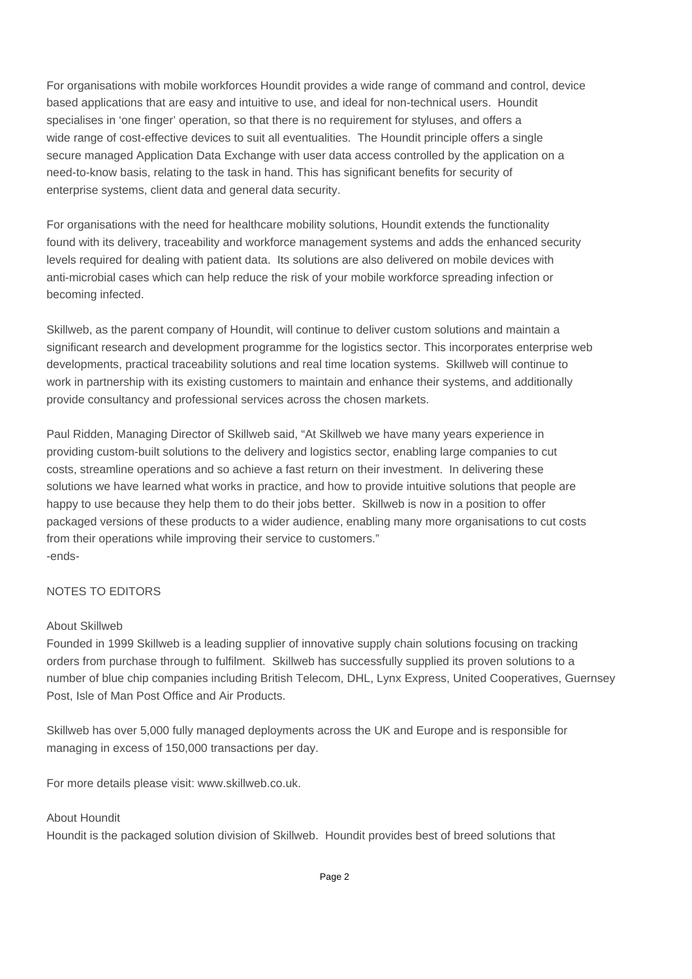For organisations with mobile workforces Houndit provides a wide range of command and control, device based applications that are easy and intuitive to use, and ideal for non-technical users. Houndit specialises in 'one finger' operation, so that there is no requirement for styluses, and offers a wide range of cost-effective devices to suit all eventualities. The Houndit principle offers a single secure managed Application Data Exchange with user data access controlled by the application on a need-to-know basis, relating to the task in hand. This has significant benefits for security of enterprise systems, client data and general data security.

For organisations with the need for healthcare mobility solutions, Houndit extends the functionality found with its delivery, traceability and workforce management systems and adds the enhanced security levels required for dealing with patient data. Its solutions are also delivered on mobile devices with anti-microbial cases which can help reduce the risk of your mobile workforce spreading infection or becoming infected.

Skillweb, as the parent company of Houndit, will continue to deliver custom solutions and maintain a significant research and development programme for the logistics sector. This incorporates enterprise web developments, practical traceability solutions and real time location systems. Skillweb will continue to work in partnership with its existing customers to maintain and enhance their systems, and additionally provide consultancy and professional services across the chosen markets.

Paul Ridden, Managing Director of Skillweb said, "At Skillweb we have many years experience in providing custom-built solutions to the delivery and logistics sector, enabling large companies to cut costs, streamline operations and so achieve a fast return on their investment. In delivering these solutions we have learned what works in practice, and how to provide intuitive solutions that people are happy to use because they help them to do their jobs better. Skillweb is now in a position to offer packaged versions of these products to a wider audience, enabling many more organisations to cut costs from their operations while improving their service to customers." -ends-

## NOTES TO EDITORS

#### About Skillweb

Founded in 1999 Skillweb is a leading supplier of innovative supply chain solutions focusing on tracking orders from purchase through to fulfilment. Skillweb has successfully supplied its proven solutions to a number of blue chip companies including British Telecom, DHL, Lynx Express, United Cooperatives, Guernsey Post, Isle of Man Post Office and Air Products.

Skillweb has over 5,000 fully managed deployments across the UK and Europe and is responsible for managing in excess of 150,000 transactions per day.

For more details please visit: www.skillweb.co.uk.

## About Houndit

Houndit is the packaged solution division of Skillweb. Houndit provides best of breed solutions that